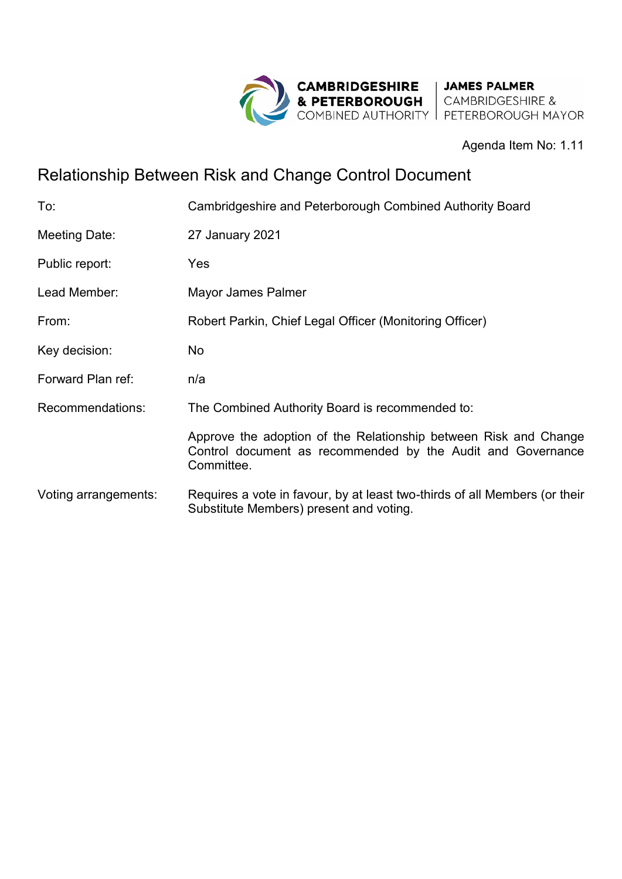

Agenda Item No: 1.11

# Relationship Between Risk and Change Control Document

| To:                  | Cambridgeshire and Peterborough Combined Authority Board                                                                                      |
|----------------------|-----------------------------------------------------------------------------------------------------------------------------------------------|
| Meeting Date:        | 27 January 2021                                                                                                                               |
| Public report:       | Yes                                                                                                                                           |
| Lead Member:         | Mayor James Palmer                                                                                                                            |
| From:                | Robert Parkin, Chief Legal Officer (Monitoring Officer)                                                                                       |
| Key decision:        | No.                                                                                                                                           |
| Forward Plan ref:    | n/a                                                                                                                                           |
| Recommendations:     | The Combined Authority Board is recommended to:                                                                                               |
|                      | Approve the adoption of the Relationship between Risk and Change<br>Control document as recommended by the Audit and Governance<br>Committee. |
| Voting arrangements: | Requires a vote in favour, by at least two-thirds of all Members (or their<br>Substitute Members) present and voting.                         |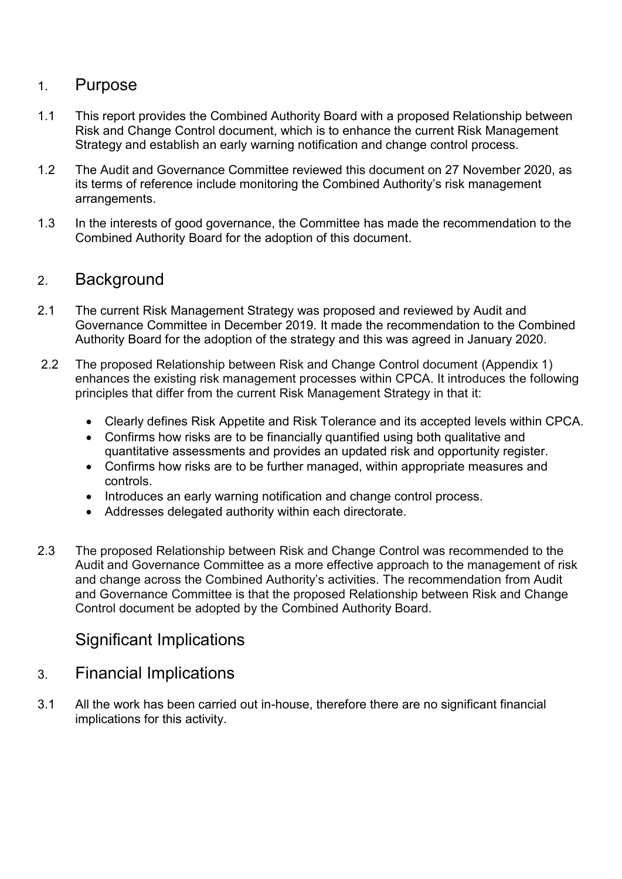#### 1. Purpose

- 1.1 This report provides the Combined Authority Board with a proposed Relationship between Risk and Change Control document, which is to enhance the current Risk Management Strategy and establish an early warning notification and change control process.
- 1.2 The Audit and Governance Committee reviewed this document on 27 November 2020, as its terms of reference include monitoring the Combined Authority's risk management arrangements.
- 1.3 In the interests of good governance, the Committee has made the recommendation to the Combined Authority Board for the adoption of this document.

#### 2. Background

- 2.1 The current Risk Management Strategy was proposed and reviewed by Audit and Governance Committee in December 2019. It made the recommendation to the Combined Authority Board for the adoption of the strategy and this was agreed in January 2020.
- 2.2 The proposed Relationship between Risk and Change Control document (Appendix 1) enhances the existing risk management processes within CPCA. It introduces the following principles that differ from the current Risk Management Strategy in that it:
	- Clearly defines Risk Appetite and Risk Tolerance and its accepted levels within CPCA.
	- Confirms how risks are to be financially quantified using both qualitative and quantitative assessments and provides an updated risk and opportunity register.
	- Confirms how risks are to be further managed, within appropriate measures and controls.
	- Introduces an early warning notification and change control process.
	- Addresses delegated authority within each directorate.
- 2.3 The proposed Relationship between Risk and Change Control was recommended to the Audit and Governance Committee as a more effective approach to the management of risk and change across the Combined Authority's activities. The recommendation from Audit and Governance Committee is that the proposed Relationship between Risk and Change Control document be adopted by the Combined Authority Board.

#### Significant Implications

- 3. Financial Implications
- 3.1 All the work has been carried out in-house, therefore there are no significant financial implications for this activity.